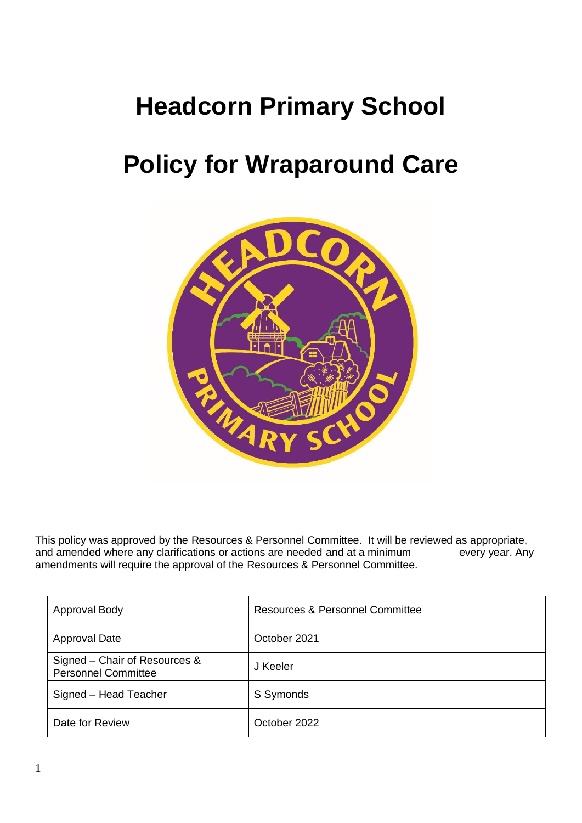# **Headcorn Primary School**

# **Policy for Wraparound Care**



This policy was approved by the Resources & Personnel Committee. It will be reviewed as appropriate, and amended where any clarifications or actions are needed and at a minimum every year. Any and amended where any clarifications or actions are needed and at a minimum amendments will require the approval of the Resources & Personnel Committee.

| <b>Approval Body</b>                                        | <b>Resources &amp; Personnel Committee</b> |
|-------------------------------------------------------------|--------------------------------------------|
| <b>Approval Date</b>                                        | October 2021                               |
| Signed – Chair of Resources &<br><b>Personnel Committee</b> | J Keeler                                   |
| Signed - Head Teacher                                       | S Symonds                                  |
| Date for Review                                             | October 2022                               |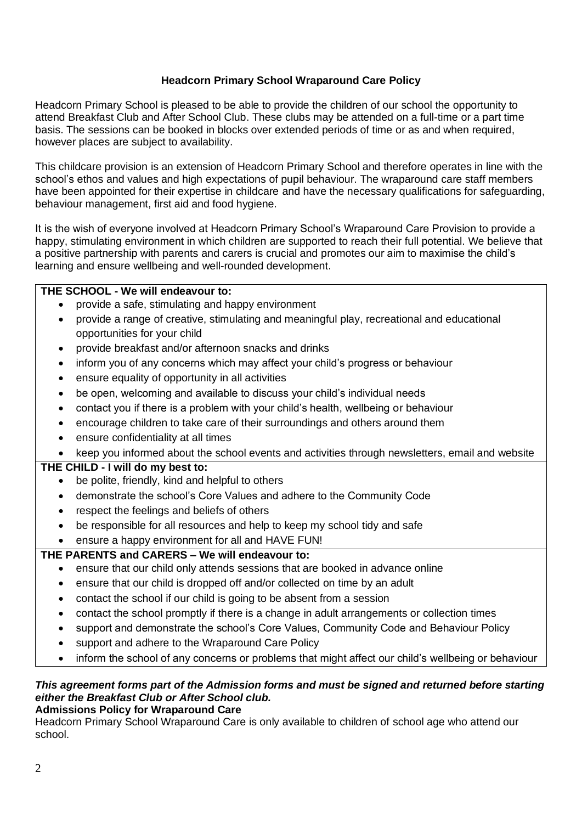# **Headcorn Primary School Wraparound Care Policy**

Headcorn Primary School is pleased to be able to provide the children of our school the opportunity to attend Breakfast Club and After School Club. These clubs may be attended on a full-time or a part time basis. The sessions can be booked in blocks over extended periods of time or as and when required, however places are subject to availability.

This childcare provision is an extension of Headcorn Primary School and therefore operates in line with the school's ethos and values and high expectations of pupil behaviour. The wraparound care staff members have been appointed for their expertise in childcare and have the necessary qualifications for safeguarding, behaviour management, first aid and food hygiene.

It is the wish of everyone involved at Headcorn Primary School's Wraparound Care Provision to provide a happy, stimulating environment in which children are supported to reach their full potential. We believe that a positive partnership with parents and carers is crucial and promotes our aim to maximise the child's learning and ensure wellbeing and well-rounded development.

# **THE SCHOOL - We will endeavour to:**

- provide a safe, stimulating and happy environment
- provide a range of creative, stimulating and meaningful play, recreational and educational opportunities for your child
- provide breakfast and/or afternoon snacks and drinks
- inform you of any concerns which may affect your child's progress or behaviour
- ensure equality of opportunity in all activities
- be open, welcoming and available to discuss your child's individual needs
- contact you if there is a problem with your child's health, wellbeing or behaviour
- encourage children to take care of their surroundings and others around them
- ensure confidentiality at all times
- keep you informed about the school events and activities through newsletters, email and website

# **THE CHILD - I will do my best to:**

- be polite, friendly, kind and helpful to others
- demonstrate the school's Core Values and adhere to the Community Code
- respect the feelings and beliefs of others
- be responsible for all resources and help to keep my school tidy and safe
- ensure a happy environment for all and HAVE FUN!

# **THE PARENTS and CARERS – We will endeavour to:**

- ensure that our child only attends sessions that are booked in advance online
- ensure that our child is dropped off and/or collected on time by an adult
- contact the school if our child is going to be absent from a session
- contact the school promptly if there is a change in adult arrangements or collection times
- support and demonstrate the school's Core Values, Community Code and Behaviour Policy
- support and adhere to the Wraparound Care Policy
- inform the school of any concerns or problems that might affect our child's wellbeing or behaviour

# *This agreement forms part of the Admission forms and must be signed and returned before starting either the Breakfast Club or After School club.*

**Admissions Policy for Wraparound Care**

Headcorn Primary School Wraparound Care is only available to children of school age who attend our school.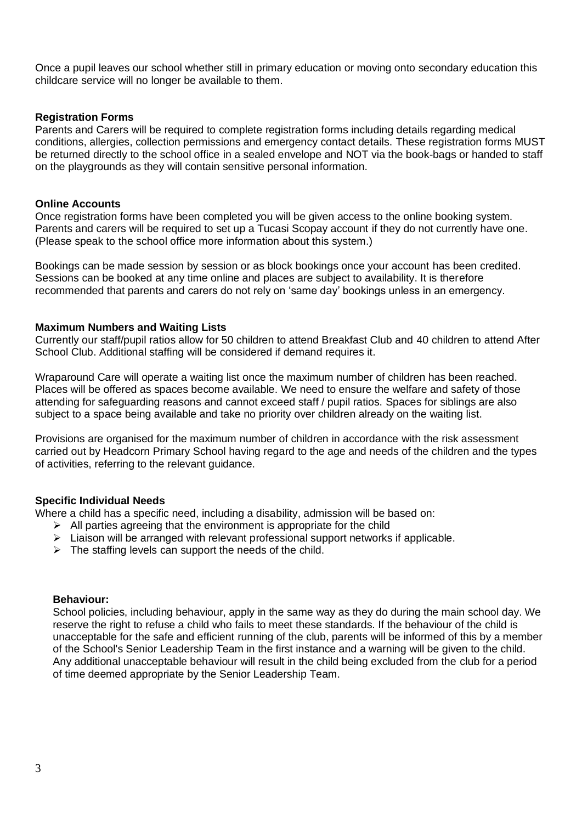Once a pupil leaves our school whether still in primary education or moving onto secondary education this childcare service will no longer be available to them.

#### **Registration Forms**

Parents and Carers will be required to complete registration forms including details regarding medical conditions, allergies, collection permissions and emergency contact details. These registration forms MUST be returned directly to the school office in a sealed envelope and NOT via the book-bags or handed to staff on the playgrounds as they will contain sensitive personal information.

#### **Online Accounts**

Once registration forms have been completed you will be given access to the online booking system. Parents and carers will be required to set up a Tucasi Scopay account if they do not currently have one. (Please speak to the school office more information about this system.)

Bookings can be made session by session or as block bookings once your account has been credited. Sessions can be booked at any time online and places are subject to availability. It is therefore recommended that parents and carers do not rely on 'same day' bookings unless in an emergency.

#### **Maximum Numbers and Waiting Lists**

Currently our staff/pupil ratios allow for 50 children to attend Breakfast Club and 40 children to attend After School Club. Additional staffing will be considered if demand requires it.

Wraparound Care will operate a waiting list once the maximum number of children has been reached. Places will be offered as spaces become available. We need to ensure the welfare and safety of those attending for safeguarding reasons and cannot exceed staff / pupil ratios. Spaces for siblings are also subject to a space being available and take no priority over children already on the waiting list.

Provisions are organised for the maximum number of children in accordance with the risk assessment carried out by Headcorn Primary School having regard to the age and needs of the children and the types of activities, referring to the relevant guidance.

#### **Specific Individual Needs**

Where a child has a specific need, including a disability, admission will be based on:

- $\triangleright$  All parties agreeing that the environment is appropriate for the child
- $\triangleright$  Liaison will be arranged with relevant professional support networks if applicable.
- $\triangleright$  The staffing levels can support the needs of the child.

#### **Behaviour:**

School policies, including behaviour, apply in the same way as they do during the main school day. We reserve the right to refuse a child who fails to meet these standards. If the behaviour of the child is unacceptable for the safe and efficient running of the club, parents will be informed of this by a member of the School's Senior Leadership Team in the first instance and a warning will be given to the child. Any additional unacceptable behaviour will result in the child being excluded from the club for a period of time deemed appropriate by the Senior Leadership Team.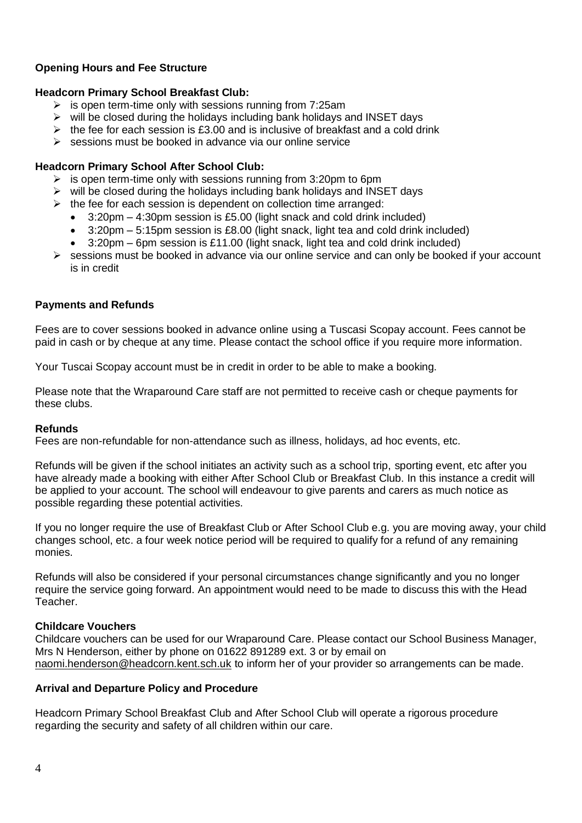# **Opening Hours and Fee Structure**

#### **Headcorn Primary School Breakfast Club:**

- $\triangleright$  is open term-time only with sessions running from 7:25am
- $\triangleright$  will be closed during the holidays including bank holidays and INSET days
- $\geq$  the fee for each session is £3.00 and is inclusive of breakfast and a cold drink
- $\triangleright$  sessions must be booked in advance via our online service

#### **Headcorn Primary School After School Club:**

- $\geq$  is open term-time only with sessions running from 3:20pm to 6pm
- $\triangleright$  will be closed during the holidays including bank holidays and INSET days
- $\triangleright$  the fee for each session is dependent on collection time arranged:
	- 3:20pm 4:30pm session is £5.00 (light snack and cold drink included)
	- 3:20pm 5:15pm session is £8.00 (light snack, light tea and cold drink included)
	- 3:20pm 6pm session is £11.00 (light snack, light tea and cold drink included)
- $\triangleright$  sessions must be booked in advance via our online service and can only be booked if your account is in credit

#### **Payments and Refunds**

Fees are to cover sessions booked in advance online using a Tuscasi Scopay account. Fees cannot be paid in cash or by cheque at any time. Please contact the school office if you require more information.

Your Tuscai Scopay account must be in credit in order to be able to make a booking.

Please note that the Wraparound Care staff are not permitted to receive cash or cheque payments for these clubs.

#### **Refunds**

Fees are non-refundable for non-attendance such as illness, holidays, ad hoc events, etc.

Refunds will be given if the school initiates an activity such as a school trip, sporting event, etc after you have already made a booking with either After School Club or Breakfast Club. In this instance a credit will be applied to your account. The school will endeavour to give parents and carers as much notice as possible regarding these potential activities.

If you no longer require the use of Breakfast Club or After School Club e.g. you are moving away, your child changes school, etc. a four week notice period will be required to qualify for a refund of any remaining monies.

Refunds will also be considered if your personal circumstances change significantly and you no longer require the service going forward. An appointment would need to be made to discuss this with the Head Teacher.

#### **Childcare Vouchers**

Childcare vouchers can be used for our Wraparound Care. Please contact our School Business Manager, Mrs N Henderson, either by phone on 01622 891289 ext. 3 or by email on [naomi.henderson@headcorn.kent.sch.uk](mailto:naomi.henderson@headcorn.kent.sch.uk) to inform her of your provider so arrangements can be made.

#### **Arrival and Departure Policy and Procedure**

Headcorn Primary School Breakfast Club and After School Club will operate a rigorous procedure regarding the security and safety of all children within our care.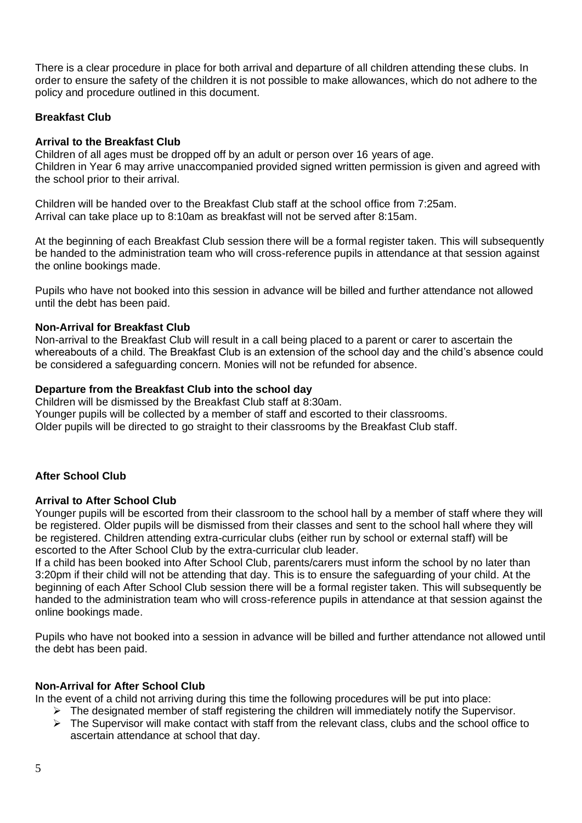There is a clear procedure in place for both arrival and departure of all children attending these clubs. In order to ensure the safety of the children it is not possible to make allowances, which do not adhere to the policy and procedure outlined in this document.

# **Breakfast Club**

#### **Arrival to the Breakfast Club**

Children of all ages must be dropped off by an adult or person over 16 years of age. Children in Year 6 may arrive unaccompanied provided signed written permission is given and agreed with the school prior to their arrival.

Children will be handed over to the Breakfast Club staff at the school office from 7:25am. Arrival can take place up to 8:10am as breakfast will not be served after 8:15am.

At the beginning of each Breakfast Club session there will be a formal register taken. This will subsequently be handed to the administration team who will cross-reference pupils in attendance at that session against the online bookings made.

Pupils who have not booked into this session in advance will be billed and further attendance not allowed until the debt has been paid.

### **Non-Arrival for Breakfast Club**

Non-arrival to the Breakfast Club will result in a call being placed to a parent or carer to ascertain the whereabouts of a child. The Breakfast Club is an extension of the school day and the child's absence could be considered a safeguarding concern. Monies will not be refunded for absence.

#### **Departure from the Breakfast Club into the school day**

Children will be dismissed by the Breakfast Club staff at 8:30am. Younger pupils will be collected by a member of staff and escorted to their classrooms. Older pupils will be directed to go straight to their classrooms by the Breakfast Club staff.

#### **After School Club**

#### **Arrival to After School Club**

Younger pupils will be escorted from their classroom to the school hall by a member of staff where they will be registered. Older pupils will be dismissed from their classes and sent to the school hall where they will be registered. Children attending extra-curricular clubs (either run by school or external staff) will be escorted to the After School Club by the extra-curricular club leader.

If a child has been booked into After School Club, parents/carers must inform the school by no later than 3:20pm if their child will not be attending that day. This is to ensure the safeguarding of your child. At the beginning of each After School Club session there will be a formal register taken. This will subsequently be handed to the administration team who will cross-reference pupils in attendance at that session against the online bookings made.

Pupils who have not booked into a session in advance will be billed and further attendance not allowed until the debt has been paid.

#### **Non-Arrival for After School Club**

In the event of a child not arriving during this time the following procedures will be put into place:

- ➢ The designated member of staff registering the children will immediately notify the Supervisor.
- ➢ The Supervisor will make contact with staff from the relevant class, clubs and the school office to ascertain attendance at school that day.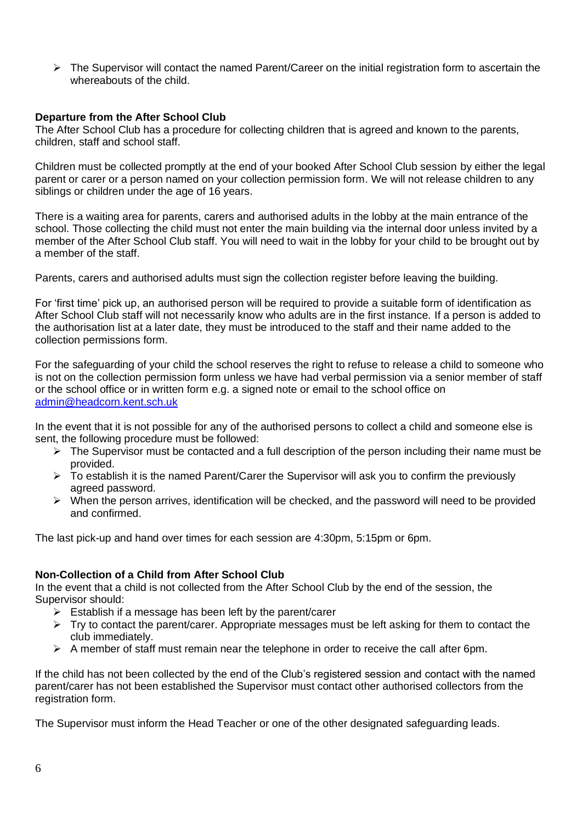$\triangleright$  The Supervisor will contact the named Parent/Career on the initial registration form to ascertain the whereabouts of the child.

#### **Departure from the After School Club**

The After School Club has a procedure for collecting children that is agreed and known to the parents, children, staff and school staff.

Children must be collected promptly at the end of your booked After School Club session by either the legal parent or carer or a person named on your collection permission form. We will not release children to any siblings or children under the age of 16 years.

There is a waiting area for parents, carers and authorised adults in the lobby at the main entrance of the school. Those collecting the child must not enter the main building via the internal door unless invited by a member of the After School Club staff. You will need to wait in the lobby for your child to be brought out by a member of the staff.

Parents, carers and authorised adults must sign the collection register before leaving the building.

For 'first time' pick up, an authorised person will be required to provide a suitable form of identification as After School Club staff will not necessarily know who adults are in the first instance. If a person is added to the authorisation list at a later date, they must be introduced to the staff and their name added to the collection permissions form.

For the safeguarding of your child the school reserves the right to refuse to release a child to someone who is not on the collection permission form unless we have had verbal permission via a senior member of staff or the school office or in written form e.g. a signed note or email to the school office on [admin@headcorn.kent.sch.uk](mailto:admin@headcorn.kent.sch.uk)

In the event that it is not possible for any of the authorised persons to collect a child and someone else is sent, the following procedure must be followed:

- $\triangleright$  The Supervisor must be contacted and a full description of the person including their name must be provided.
- ➢ To establish it is the named Parent/Carer the Supervisor will ask you to confirm the previously agreed password.
- $\triangleright$  When the person arrives, identification will be checked, and the password will need to be provided and confirmed.

The last pick-up and hand over times for each session are 4:30pm, 5:15pm or 6pm.

### **Non-Collection of a Child from After School Club**

In the event that a child is not collected from the After School Club by the end of the session, the Supervisor should:

- $\triangleright$  Establish if a message has been left by the parent/carer
- ➢ Try to contact the parent/carer. Appropriate messages must be left asking for them to contact the club immediately.
- $\triangleright$  A member of staff must remain near the telephone in order to receive the call after 6pm.

If the child has not been collected by the end of the Club's registered session and contact with the named parent/carer has not been established the Supervisor must contact other authorised collectors from the registration form.

The Supervisor must inform the Head Teacher or one of the other designated safeguarding leads.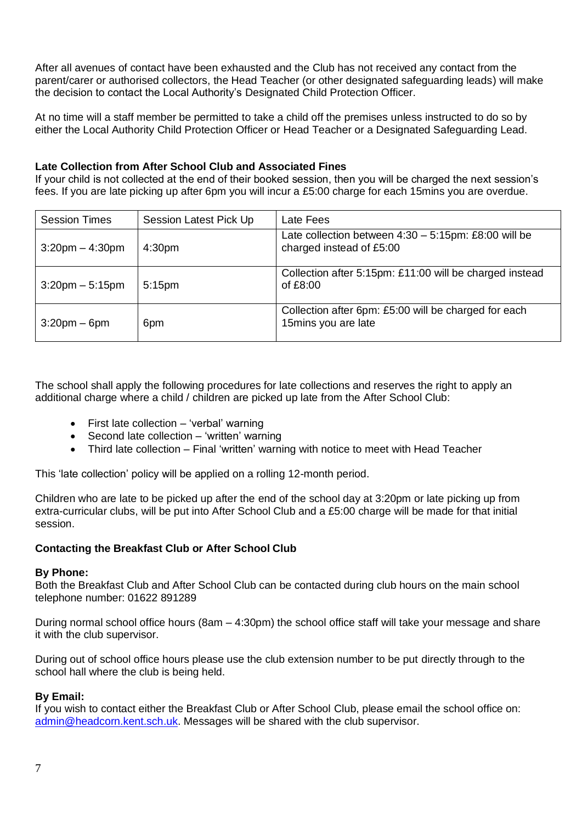After all avenues of contact have been exhausted and the Club has not received any contact from the parent/carer or authorised collectors, the Head Teacher (or other designated safeguarding leads) will make the decision to contact the Local Authority's Designated Child Protection Officer.

At no time will a staff member be permitted to take a child off the premises unless instructed to do so by either the Local Authority Child Protection Officer or Head Teacher or a Designated Safeguarding Lead.

#### **Late Collection from After School Club and Associated Fines**

If your child is not collected at the end of their booked session, then you will be charged the next session's fees. If you are late picking up after 6pm you will incur a £5:00 charge for each 15mins you are overdue.

| <b>Session Times</b> | Session Latest Pick Up | Late Fees                                                                           |
|----------------------|------------------------|-------------------------------------------------------------------------------------|
| $3:20$ pm $-4:30$ pm | 4:30 <sub>pm</sub>     | Late collection between $4:30 - 5:15$ pm: £8:00 will be<br>charged instead of £5:00 |
| $3:20$ pm $-5:15$ pm | 5:15 <sub>pm</sub>     | Collection after 5:15pm: £11:00 will be charged instead<br>of £8:00                 |
| $3:20$ pm – 6pm      | 6pm                    | Collection after 6pm: £5:00 will be charged for each<br>15mins you are late         |

The school shall apply the following procedures for late collections and reserves the right to apply an additional charge where a child / children are picked up late from the After School Club:

- First late collection 'verbal' warning
- Second late collection 'written' warning
- Third late collection Final 'written' warning with notice to meet with Head Teacher

This 'late collection' policy will be applied on a rolling 12-month period.

Children who are late to be picked up after the end of the school day at 3:20pm or late picking up from extra-curricular clubs, will be put into After School Club and a £5:00 charge will be made for that initial session.

#### **Contacting the Breakfast Club or After School Club**

#### **By Phone:**

Both the Breakfast Club and After School Club can be contacted during club hours on the main school telephone number: 01622 891289

During normal school office hours (8am – 4:30pm) the school office staff will take your message and share it with the club supervisor.

During out of school office hours please use the club extension number to be put directly through to the school hall where the club is being held.

#### **By Email:**

If you wish to contact either the Breakfast Club or After School Club, please email the school office on: [admin@headcorn.kent.sch.uk.](mailto:admin@headcorn.kent.sch.uk) Messages will be shared with the club supervisor.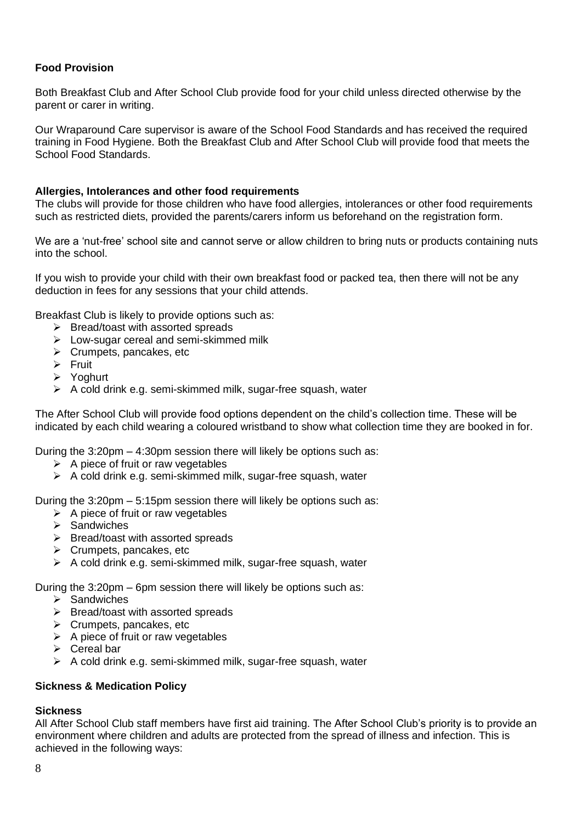# **Food Provision**

Both Breakfast Club and After School Club provide food for your child unless directed otherwise by the parent or carer in writing.

Our Wraparound Care supervisor is aware of the School Food Standards and has received the required training in Food Hygiene. Both the Breakfast Club and After School Club will provide food that meets the School Food Standards.

#### **Allergies, Intolerances and other food requirements**

The clubs will provide for those children who have food allergies, intolerances or other food requirements such as restricted diets, provided the parents/carers inform us beforehand on the registration form.

We are a 'nut-free' school site and cannot serve or allow children to bring nuts or products containing nuts into the school.

If you wish to provide your child with their own breakfast food or packed tea, then there will not be any deduction in fees for any sessions that your child attends.

Breakfast Club is likely to provide options such as:

- ➢ Bread/toast with assorted spreads
- ➢ Low-sugar cereal and semi-skimmed milk
- ➢ Crumpets, pancakes, etc
- ➢ Fruit
- ➢ Yoghurt
- ➢ A cold drink e.g. semi-skimmed milk, sugar-free squash, water

The After School Club will provide food options dependent on the child's collection time. These will be indicated by each child wearing a coloured wristband to show what collection time they are booked in for.

During the 3:20pm – 4:30pm session there will likely be options such as:

- $\triangleright$  A piece of fruit or raw vegetables
- ➢ A cold drink e.g. semi-skimmed milk, sugar-free squash, water

During the 3:20pm – 5:15pm session there will likely be options such as:

- $\triangleright$  A piece of fruit or raw vegetables
- ➢ Sandwiches
- ➢ Bread/toast with assorted spreads
- ➢ Crumpets, pancakes, etc
- $\triangleright$  A cold drink e.g. semi-skimmed milk, sugar-free squash, water

During the 3:20pm – 6pm session there will likely be options such as:

- $\triangleright$  Sandwiches
- ➢ Bread/toast with assorted spreads
- ➢ Crumpets, pancakes, etc
- $\triangleright$  A piece of fruit or raw vegetables
- ➢ Cereal bar
- ➢ A cold drink e.g. semi-skimmed milk, sugar-free squash, water

#### **Sickness & Medication Policy**

# **Sickness**

All After School Club staff members have first aid training. The After School Club's priority is to provide an environment where children and adults are protected from the spread of illness and infection. This is achieved in the following ways: